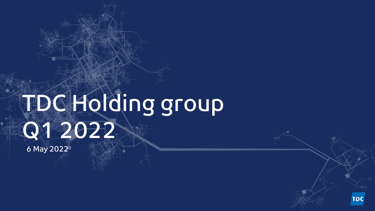# TDCHelding group Q1 2022 6 May 2022

TDC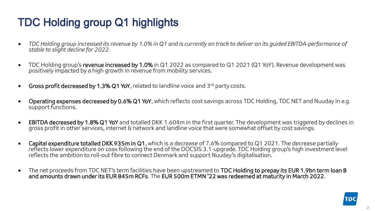## TDC Holding group Q1 highlights

- *TDC Holding group increased its revenue by 1.0% in Q1 and is currently on track to deliver on its guided EBITDA-performance of stable to slight decline for 2022.*
- TDC Holding group's revenue increased by 1.0% in Q1 2022 as compared to Q1 2021 (Q1 YoY). Revenue development was positively impacted by a high growth in revenue from mobility services.
- Gross profit decreased by 1.3% Q1 YoY, related to landline voice and 3<sup>rd</sup> party costs.
- Operating expenses decreased by 0.6% Q1 YoY, which reflects cost savings across TDC Holding, TDC NET and Nuuday in e.g. support functions.
- EBITDA decreased by 1.8% Q1 YoY and totalled DKK 1.604m in the first quarter. The development was triggered by declines in gross profit in other services, internet & network and landline voice that were somewhat offset by cost savings.
- Capital expenditure totalled DKK 935m in Q1, which is a decrease of 7.6% compared to Q1 2021. The decrease partially reflects lower expenditure on coax following the end of the DOCSIS 3.1-upgrade. TDC Holding group's high investment level reflects the ambition to roll-out fibre to connect Denmark and support Nuuday's digitalisation.
- The net proceeds from TDC NET's term facilities have been upstreamed to TDC Holding to prepay its EUR 1.9bn term loan B and amounts drawn under its EUR 845m RCFs. The EUR 500m ETMN '22 was redeemed at maturity in March 2022.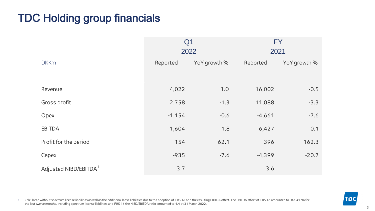### TDC Holding group financials

|                                   | <b>FY</b><br>Q <sub>1</sub> |              |          |              |  |
|-----------------------------------|-----------------------------|--------------|----------|--------------|--|
|                                   | 2022                        |              | 2021     |              |  |
| <b>DKKm</b>                       | Reported                    | YoY growth % | Reported | YoY growth % |  |
|                                   |                             |              |          |              |  |
| Revenue                           | 4,022                       | 1.0          | 16,002   | $-0.5$       |  |
| Gross profit                      | 2,758                       | $-1.3$       | 11,088   | $-3.3$       |  |
| Opex                              | $-1,154$                    | $-0.6$       | $-4,661$ | $-7.6$       |  |
| <b>EBITDA</b>                     | 1,604                       | $-1.8$       | 6,427    | 0.1          |  |
| Profit for the period             | 154                         | 62.1         | 396      | 162.3        |  |
| Capex                             | $-935$                      | $-7.6$       | $-4,399$ | $-20.7$      |  |
| Adjusted NIBD/EBITDA <sup>1</sup> | 3.7                         |              | 3.6      |              |  |

1. Calculated without spectrum license liabilities as well as the additional lease liabilities due to the adoption of IFRS 16 and the resulting EBITDA effect. The EBITDA effect of IFRS 16 amounted to DKK 417m for the last twelve months. Including spectrum license liabilities and IFRS 16 the NIBD/EBITDA ratio amounted to 4.4 at 31 March 2022.

**TDC**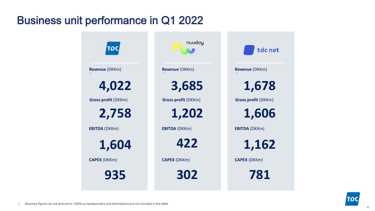### Business unit performance in Q1 2022

| <b>TDC</b>                 | nuuday                     | tdc net                    |
|----------------------------|----------------------------|----------------------------|
| <b>Revenue (DKKm)</b>      | <b>Revenue (DKKm)</b>      | <b>Revenue (DKKm)</b>      |
| 4,022                      | 3,685                      | 1,678                      |
| <b>Gross profit (DKKm)</b> | <b>Gross profit (DKKm)</b> | <b>Gross profit (DKKm)</b> |
| 2,758                      | 1,202                      | 1,606                      |
| <b>EBITDA (DKKm)</b>       | <b>EBITDA (DKKm)</b>       | <b>EBITDA (DKKm)</b>       |
| 1,604                      | 422                        | 1,162                      |
| <b>CAPEX (DKKm)</b>        | <b>CAPEX (DKKm)</b>        | <b>CAPEX (DKKm)</b>        |
| 935                        | 302                        | 781                        |

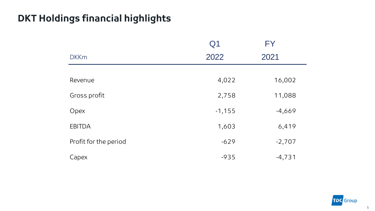### **DKT Holdings financial highlights**

|                       | Q <sub>1</sub> | <b>FY</b> |
|-----------------------|----------------|-----------|
| <b>DKKm</b>           | 2022           | 2021      |
|                       |                |           |
| Revenue               | 4,022          | 16,002    |
| Gross profit          | 2,758          | 11,088    |
| Opex                  | $-1,155$       | $-4,669$  |
| <b>EBITDA</b>         | 1,603          | 6,419     |
| Profit for the period | $-629$         | $-2,707$  |
| Capex                 | $-935$         | $-4,731$  |

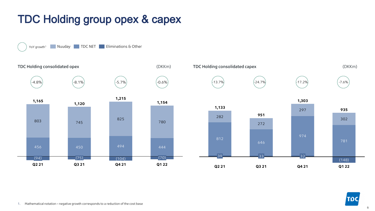### TDC Holding group opex & capex



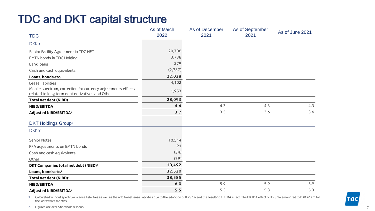### TDC and DKT capital structure

|                                                                                                                 | As of March<br>2022 | As of December<br>2021 | As of September<br>2021 | As of June 2021 |
|-----------------------------------------------------------------------------------------------------------------|---------------------|------------------------|-------------------------|-----------------|
| <b>TDC</b>                                                                                                      |                     |                        |                         |                 |
| <b>DKKm</b>                                                                                                     |                     |                        |                         |                 |
| Senior Facility Agreement in TDC NET                                                                            | 20,788              |                        |                         |                 |
| <b>EMTN bonds in TDC Holding</b>                                                                                | 3,738               |                        |                         |                 |
| Bank loans                                                                                                      | 279                 |                        |                         |                 |
| Cash and cash equivalents                                                                                       | (2,767)             |                        |                         |                 |
| Loans, bonds etc.                                                                                               | 22,038              |                        |                         |                 |
| Lease liabilities                                                                                               | 4,102               |                        |                         |                 |
| Mobile spectrum, correction for currency adjustments effects<br>related to long term debt derivatives and Other | 1,953               |                        |                         |                 |
| Total net debt (NIBD)                                                                                           | 28,093              |                        |                         |                 |
| NIBD/EBITDA                                                                                                     | 4.4                 | 4.3                    | 4.3                     | 4.3             |
| Adjusted NIBD/EBITDA <sup>1</sup>                                                                               | 3.7                 | 3.5                    | 3.6                     | 3.6             |
| <b>DKT Holdings Group</b> <sup>2</sup>                                                                          |                     |                        |                         |                 |
| <b>DKKm</b>                                                                                                     |                     |                        |                         |                 |
| Senior Notes                                                                                                    | 10,514              |                        |                         |                 |
| PPA adjustments on EMTN bonds                                                                                   | 91                  |                        |                         |                 |
| Cash and cash equivalents                                                                                       | (34)                |                        |                         |                 |
| Other                                                                                                           | (79)                |                        |                         |                 |
| DKT Companies total net debt (NIBD) <sup>2</sup>                                                                | 10,492              |                        |                         |                 |
| Loans, bonds etc. <sup>2</sup>                                                                                  | 32,530              |                        |                         |                 |
| Total net debt (NIBD) <sup>2</sup>                                                                              | 38,585              |                        |                         |                 |
| NIBD/EBITDA                                                                                                     | 6.0                 | 5.9                    | 5.9                     | 5.9             |
| Adjusted NIBD/EBITDA <sup>1</sup>                                                                               | 5.5                 | 5.3                    | 5.3                     | 5.3             |

1. Calculated without spectrum license liabilities as well as the additional lease liabilities due to the adoption of IFRS 16 and the resulting EBITDA effect. The EBITDA effect of IFRS 16 amounted to DKK 417m for the last twelve months.

2. Figures are excl. Shareholder loans.

7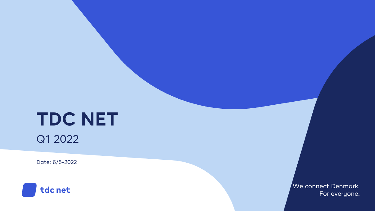# **TDC NET**

Q1 2022

Date: 6/5-2022



We connect Denmark. For everyone.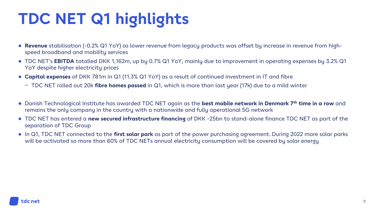# **TDC NET Q1 highlights**

- **Revenue** stabilisation (-0.2% Q1 YoY) as lower revenue from legacy products was offset by increase in revenue from highspeed broadband and mobility services
- TDC NET's **EBITDA** totalled DKK 1,162m, up by 0.7% Q1 YoY, mainly due to improvement in operating expenses by 3.2% Q1 YoY despite higher electricity prices
- **Capital expenses** of DKK 781m in Q1 (11.3% Q1 YoY) as a result of continued investment in IT and fibre
	- − TDC NET rolled out 20k **fibre homes passed** in Q1, which is more than last year (17k) due to a mild winter
- Danish Technological Institute has awarded TDC NET again as the **best mobile network in Denmark 7th time in a row** and remains the only company in the country with a nationwide and fully operational 5G network
- TDC NET has entered a **new secured infrastructure financing** of DKK ~25bn to stand-alone finance TDC NET as part of the separation of TDC Group
- In Q1, TDC NET connected to the **first solar park** as part of the power purchasing agreement. During 2022 more solar parks will be activated so more than 60% of TDC NETs annual electricity consumption will be covered by solar energy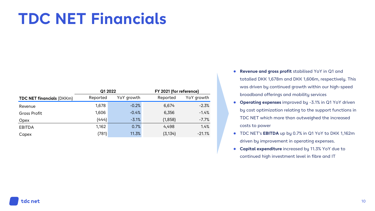## **TDC NET Financials**

|                                  | Q1 2022  |            | FY 2021 (for reference) |            |  |
|----------------------------------|----------|------------|-------------------------|------------|--|
| <b>TDC NET financials (DKKm)</b> | Reported | YoY growth | Reported                | YoY growth |  |
| Revenue                          | 1,678    | $-0.2%$    | 6,674                   | $-2.3%$    |  |
| <b>Gross Profit</b>              | 1,606    | $-0.4%$    | 6,356                   | $-1.4%$    |  |
| Opex                             | (444)    | $-3.1%$    | (1,858)                 | $-7.7%$    |  |
| <b>EBITDA</b>                    | 1,162    | 0.7%       | 4,498                   | 1.4%       |  |
| Capex                            | (781)    | 11.3%      | (3, 134)                | $-21.1%$   |  |

- **Revenue and gross profit** stabilised YoY in Q1 and totalled DKK 1,678m and DKK 1,606m, respectively. This was driven by continued growth within our high-speed broadband offerings and mobility services
- **Operating expenses** improved by -3.1% in Q1 YoY driven by cost optimization relating to the support functions in TDC NET which more than outweighed the increased costs to power
- TDC NET's **EBITDA** up by 0.7% in Q1 YoY to DKK 1,162m driven by improvement in operating expenses.
- **Capital expenditure** increased by 11.3% YoY due to continued high investment level in fibre and IT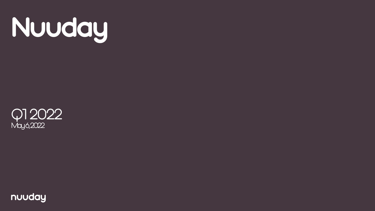



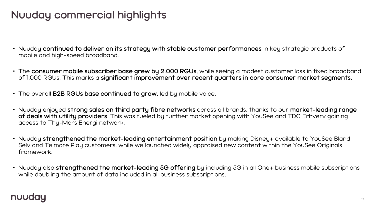### **Nuuday commercial highlights**

- Nuuday **continued to deliver on its strategy with stable customer performances** in key strategic products of mobile and high-speed broadband.
- The **consumer mobile subscriber base grew by 2.000 RGUs**, while seeing a modest customer loss in fixed broadband of 1.000 RGUs. This marks a **significant improvement over recent quarters in core consumer market segments.**
- The overall **B2B RGUs base continued to grow**, led by mobile voice.
- Nuuday enjoyed **strong sales on third party fibre networks** across all brands, thanks to our **market-leading range of deals with utility providers**. This was fueled by further market opening with YouSee and TDC Erhverv gaining access to Thy-Mors Energi network.
- Nuuday **strengthened the market-leading entertainment position** by making Disney+ available to YouSee Bland Selv and Telmore Play customers, while we launched widely appraised new content within the YouSee Originals framework.
- Nuuday also **strengthened the market-leading 5G offering** by including 5G in all One+ business mobile subscriptions while doubling the amount of data included in all business subscriptions.

#### nuuday